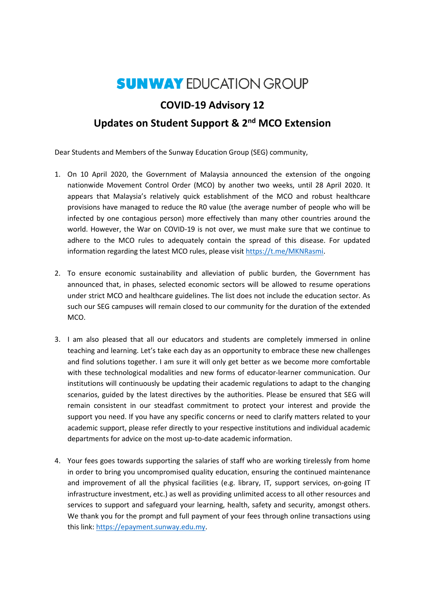## **SUNWAY EDUCATION GROUP**

## **COVID-19 Advisory 12**

## **Updates on Student Support & 2nd MCO Extension**

Dear Students and Members of the Sunway Education Group (SEG) community,

- 1. On 10 April 2020, the Government of Malaysia announced the extension of the ongoing nationwide Movement Control Order (MCO) by another two weeks, until 28 April 2020. It appears that Malaysia's relatively quick establishment of the MCO and robust healthcare provisions have managed to reduce the R0 value (the average number of people who will be infected by one contagious person) more effectively than many other countries around the world. However, the War on COVID-19 is not over, we must make sure that we continue to adhere to the MCO rules to adequately contain the spread of this disease. For updated information regarding the latest MCO rules, please visit [https://t.me/MKNRasmi.](https://t.me/MKNRasmi)
- 2. To ensure economic sustainability and alleviation of public burden, the Government has announced that, in phases, selected economic sectors will be allowed to resume operations under strict MCO and healthcare guidelines. The list does not include the education sector. As such our SEG campuses will remain closed to our community for the duration of the extended MCO.
- 3. I am also pleased that all our educators and students are completely immersed in online teaching and learning. Let's take each day as an opportunity to embrace these new challenges and find solutions together. I am sure it will only get better as we become more comfortable with these technological modalities and new forms of educator-learner communication. Our institutions will continuously be updating their academic regulations to adapt to the changing scenarios, guided by the latest directives by the authorities. Please be ensured that SEG will remain consistent in our steadfast commitment to protect your interest and provide the support you need. If you have any specific concerns or need to clarify matters related to your academic support, please refer directly to your respective institutions and individual academic departments for advice on the most up-to-date academic information.
- 4. Your fees goes towards supporting the salaries of staff who are working tirelessly from home in order to bring you uncompromised quality education, ensuring the continued maintenance and improvement of all the physical facilities (e.g. library, IT, support services, on-going IT infrastructure investment, etc.) as well as providing unlimited access to all other resources and services to support and safeguard your learning, health, safety and security, amongst others. We thank you for the prompt and full payment of your fees through online transactions using this link[: https://epayment.sunway.edu.my.](https://epayment.sunway.edu.my/)